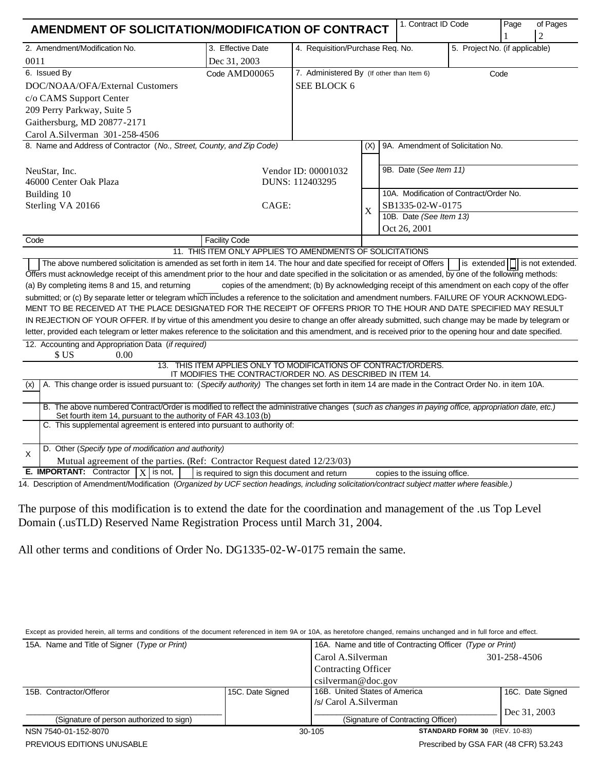| AMENDMENT OF SOLICITATION/MODIFICATION OF CONTRACT                                                                                                                                                                                                                                                                                                                                                                                                                                                                                                                                                                                                                                                                                                                          |                                                                                                                                |                                                                                                   |                           | 1. Contract ID Code                     |                                | Page | of Pages<br>$\overline{2}$                           |
|-----------------------------------------------------------------------------------------------------------------------------------------------------------------------------------------------------------------------------------------------------------------------------------------------------------------------------------------------------------------------------------------------------------------------------------------------------------------------------------------------------------------------------------------------------------------------------------------------------------------------------------------------------------------------------------------------------------------------------------------------------------------------------|--------------------------------------------------------------------------------------------------------------------------------|---------------------------------------------------------------------------------------------------|---------------------------|-----------------------------------------|--------------------------------|------|------------------------------------------------------|
| 2. Amendment/Modification No.                                                                                                                                                                                                                                                                                                                                                                                                                                                                                                                                                                                                                                                                                                                                               | 3. Effective Date                                                                                                              | 4. Requisition/Purchase Req. No.                                                                  |                           |                                         | 5. Project No. (if applicable) |      |                                                      |
| 0011                                                                                                                                                                                                                                                                                                                                                                                                                                                                                                                                                                                                                                                                                                                                                                        | Dec 31, 2003                                                                                                                   |                                                                                                   |                           |                                         |                                |      |                                                      |
| 6. Issued By                                                                                                                                                                                                                                                                                                                                                                                                                                                                                                                                                                                                                                                                                                                                                                | Code AMD00065                                                                                                                  | 7. Administered By (If other than Item 6)<br>Code                                                 |                           |                                         |                                |      |                                                      |
| DOC/NOAA/OFA/External Customers                                                                                                                                                                                                                                                                                                                                                                                                                                                                                                                                                                                                                                                                                                                                             |                                                                                                                                | SEE BLOCK 6                                                                                       |                           |                                         |                                |      |                                                      |
| c/o CAMS Support Center                                                                                                                                                                                                                                                                                                                                                                                                                                                                                                                                                                                                                                                                                                                                                     |                                                                                                                                |                                                                                                   |                           |                                         |                                |      |                                                      |
| 209 Perry Parkway, Suite 5                                                                                                                                                                                                                                                                                                                                                                                                                                                                                                                                                                                                                                                                                                                                                  |                                                                                                                                |                                                                                                   |                           |                                         |                                |      |                                                      |
| Gaithersburg, MD 20877-2171                                                                                                                                                                                                                                                                                                                                                                                                                                                                                                                                                                                                                                                                                                                                                 |                                                                                                                                |                                                                                                   |                           |                                         |                                |      |                                                      |
| Carol A.Silverman 301-258-4506                                                                                                                                                                                                                                                                                                                                                                                                                                                                                                                                                                                                                                                                                                                                              |                                                                                                                                |                                                                                                   |                           |                                         |                                |      |                                                      |
| 8. Name and Address of Contractor (No., Street, County, and Zip Code)                                                                                                                                                                                                                                                                                                                                                                                                                                                                                                                                                                                                                                                                                                       |                                                                                                                                |                                                                                                   | (X)                       | 9A. Amendment of Solicitation No.       |                                |      |                                                      |
| NeuStar, Inc.                                                                                                                                                                                                                                                                                                                                                                                                                                                                                                                                                                                                                                                                                                                                                               | Vendor ID: 00001032                                                                                                            |                                                                                                   |                           | 9B. Date (See Item 11)                  |                                |      |                                                      |
| 46000 Center Oak Plaza                                                                                                                                                                                                                                                                                                                                                                                                                                                                                                                                                                                                                                                                                                                                                      |                                                                                                                                | DUNS: 112403295                                                                                   |                           |                                         |                                |      |                                                      |
| Building 10                                                                                                                                                                                                                                                                                                                                                                                                                                                                                                                                                                                                                                                                                                                                                                 |                                                                                                                                |                                                                                                   | $\boldsymbol{\mathrm{X}}$ | 10A. Modification of Contract/Order No. |                                |      |                                                      |
| Sterling VA 20166                                                                                                                                                                                                                                                                                                                                                                                                                                                                                                                                                                                                                                                                                                                                                           | CAGE:                                                                                                                          |                                                                                                   |                           | SB1335-02-W-0175                        |                                |      |                                                      |
|                                                                                                                                                                                                                                                                                                                                                                                                                                                                                                                                                                                                                                                                                                                                                                             |                                                                                                                                |                                                                                                   |                           | 10B. Date (See Item 13)                 |                                |      |                                                      |
|                                                                                                                                                                                                                                                                                                                                                                                                                                                                                                                                                                                                                                                                                                                                                                             |                                                                                                                                |                                                                                                   |                           | Oct 26, 2001                            |                                |      |                                                      |
| Code                                                                                                                                                                                                                                                                                                                                                                                                                                                                                                                                                                                                                                                                                                                                                                        | <b>Facility Code</b><br>11. THIS ITEM ONLY APPLIES TO AMENDMENTS OF SOLICITATIONS                                              |                                                                                                   |                           |                                         |                                |      |                                                      |
| The above numbered solicitation is amended as set forth in item 14. The hour and date specified for receipt of Offers<br>Offers must acknowledge receipt of this amendment prior to the hour and date specified in the solicitation or as amended, by one of the following methods:<br>(a) By completing items 8 and 15, and returning<br>submitted; or (c) By separate letter or telegram which includes a reference to the solicitation and amendment numbers. FAILURE OF YOUR ACKNOWLEDG-<br>MENT TO BE RECEIVED AT THE PLACE DESIGNATED FOR THE RECEIPT OF OFFERS PRIOR TO THE HOUR AND DATE SPECIFIED MAY RESULT<br>IN REJECTION OF YOUR OFFER. If by virtue of this amendment you desire to change an offer already submitted, such change may be made by telegram or |                                                                                                                                | copies of the amendment; (b) By acknowledging receipt of this amendment on each copy of the offer |                           |                                         |                                |      | $\left  \text{is extended} \right $ is not extended. |
| letter, provided each telegram or letter makes reference to the solicitation and this amendment, and is received prior to the opening hour and date specified.                                                                                                                                                                                                                                                                                                                                                                                                                                                                                                                                                                                                              |                                                                                                                                |                                                                                                   |                           |                                         |                                |      |                                                      |
| 12. Accounting and Appropriation Data (if required)<br>\$US<br>0.00                                                                                                                                                                                                                                                                                                                                                                                                                                                                                                                                                                                                                                                                                                         |                                                                                                                                |                                                                                                   |                           |                                         |                                |      |                                                      |
|                                                                                                                                                                                                                                                                                                                                                                                                                                                                                                                                                                                                                                                                                                                                                                             | 13. THIS ITEM APPLIES ONLY TO MODIFICATIONS OF CONTRACT/ORDERS.<br>IT MODIFIES THE CONTRACT/ORDER NO. AS DESCRIBED IN ITEM 14. |                                                                                                   |                           |                                         |                                |      |                                                      |
| A. This change order is issued pursuant to: (Specify authority) The changes set forth in item 14 are made in the Contract Order No. in item 10A.<br>(x)                                                                                                                                                                                                                                                                                                                                                                                                                                                                                                                                                                                                                     |                                                                                                                                |                                                                                                   |                           |                                         |                                |      |                                                      |
| B. The above numbered Contract/Order is modified to reflect the administrative changes (such as changes in paying office, appropriation date, etc.)<br>Set fourth item 14, pursuant to the authority of FAR 43.103 (b)                                                                                                                                                                                                                                                                                                                                                                                                                                                                                                                                                      |                                                                                                                                |                                                                                                   |                           |                                         |                                |      |                                                      |
| C. This supplemental agreement is entered into pursuant to authority of:                                                                                                                                                                                                                                                                                                                                                                                                                                                                                                                                                                                                                                                                                                    |                                                                                                                                |                                                                                                   |                           |                                         |                                |      |                                                      |
| D. Other (Specify type of modification and authority)<br>$\times$                                                                                                                                                                                                                                                                                                                                                                                                                                                                                                                                                                                                                                                                                                           |                                                                                                                                |                                                                                                   |                           |                                         |                                |      |                                                      |
| Mutual agreement of the parties. (Ref: Contractor Request dated 12/23/03)                                                                                                                                                                                                                                                                                                                                                                                                                                                                                                                                                                                                                                                                                                   |                                                                                                                                |                                                                                                   |                           |                                         |                                |      |                                                      |
| <b>E. IMPORTANT:</b> Contractor $ X $ is not,<br>1. Description of Amendment/Medification (Oppositoral by UCE exciten beadings, including explicitation (explicate systemation watter where foodiele)                                                                                                                                                                                                                                                                                                                                                                                                                                                                                                                                                                       | is required to sign this document and return                                                                                   |                                                                                                   |                           | copies to the issuing office.           |                                |      |                                                      |

14. Description of Amendment/Modification (*Organized by UCF section headings, including solicitation/contract subject matter where feasible.)*

The purpose of this modification is to extend the date for the coordination and management of the .us Top Level Domain (.usTLD) Reserved Name Registration Process until March 31, 2004.

All other terms and conditions of Order No. DG1335-02-W-0175 remain the same.

Except as provided herein, all terms and conditions of the document referenced in item 9A or 10A, as heretofore changed, remains unchanged and in full force and effect.

| 15A. Name and Title of Signer (Type or Print) |                  | 16A. Name and title of Contracting Officer (Type or Print) |                                       |  |  |
|-----------------------------------------------|------------------|------------------------------------------------------------|---------------------------------------|--|--|
|                                               |                  | Carol A.Silverman                                          | 301-258-4506                          |  |  |
|                                               |                  | Contracting Officer                                        |                                       |  |  |
|                                               |                  | csilverman@doc.gov                                         |                                       |  |  |
| 15B. Contractor/Offeror                       | 15C. Date Signed | 16B. United States of America                              | 16C. Date Signed                      |  |  |
|                                               |                  | /s/ Carol A.Silverman                                      |                                       |  |  |
|                                               |                  |                                                            | Dec 31, 2003                          |  |  |
| (Signature of person authorized to sign)      |                  | (Signature of Contracting Officer)                         |                                       |  |  |
| NSN 7540-01-152-8070                          |                  | 30-105                                                     | <b>STANDARD FORM 30 (REV. 10-83)</b>  |  |  |
| PREVIOUS EDITIONS UNUSABLE                    |                  |                                                            | Prescribed by GSA FAR (48 CFR) 53.243 |  |  |